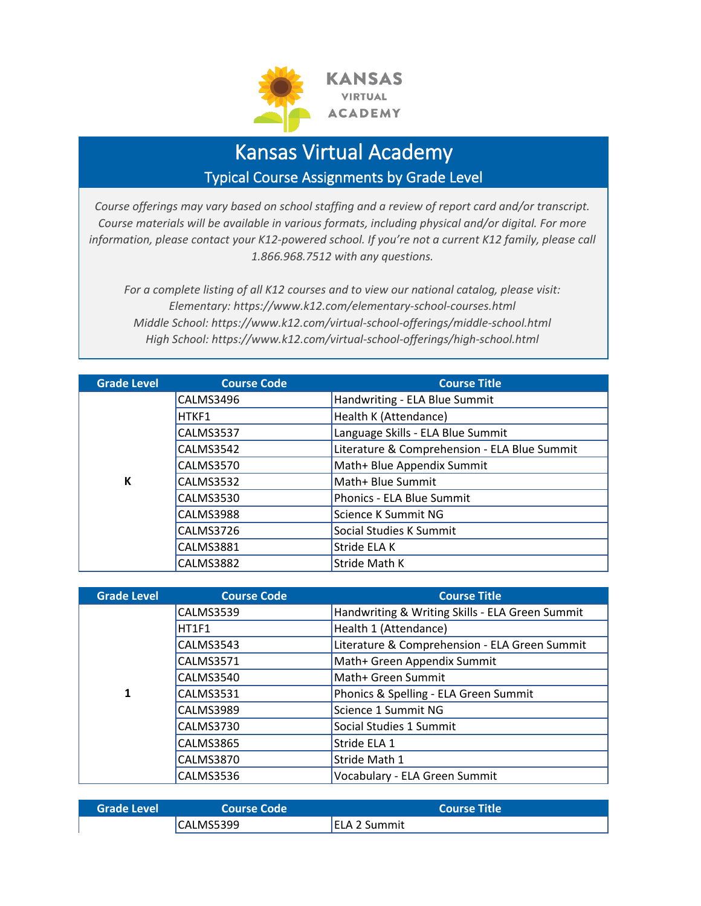

## Kansas Virtual Academy Typical Course Assignments by Grade Level

*Course offerings may vary based on school staffing and a review of report card and/or transcript. Course materials will be available in various formats, including physical and/or digital. For more information, please contact your K12-powered school. If you're not a current K12 family, please call 1.866.968.7512 with any questions.*

*For a complete listing of all K12 courses and to view our national catalog, please visit: Elementary: https://www.k12.com/elementary-school-courses.html Middle School: https://www.k12.com/virtual-school-offerings/middle-school.html High School: https://www.k12.com/virtual-school-offerings/high-school.html*

| <b>Grade Level</b> | <b>Course Code</b> | <b>Course Title</b>                          |
|--------------------|--------------------|----------------------------------------------|
|                    | CALMS3496          | Handwriting - ELA Blue Summit                |
|                    | HTKF1              | Health K (Attendance)                        |
|                    | CALMS3537          | Language Skills - ELA Blue Summit            |
|                    | <b>CALMS3542</b>   | Literature & Comprehension - ELA Blue Summit |
| K                  | <b>CALMS3570</b>   | Math+ Blue Appendix Summit                   |
|                    | <b>CALMS3532</b>   | Math+ Blue Summit                            |
|                    | <b>CALMS3530</b>   | Phonics - ELA Blue Summit                    |
|                    | CALMS3988          | Science K Summit NG                          |
|                    | CALMS3726          | Social Studies K Summit                      |
|                    | <b>CALMS3881</b>   | Stride ELA K                                 |
|                    | CALMS3882          | Stride Math K                                |

| <b>Grade Level</b> | <b>Course Code</b> | <b>Course Title</b>                             |
|--------------------|--------------------|-------------------------------------------------|
|                    | <b>CALMS3539</b>   | Handwriting & Writing Skills - ELA Green Summit |
|                    | HT1F1              | Health 1 (Attendance)                           |
|                    | <b>CALMS3543</b>   | Literature & Comprehension - ELA Green Summit   |
|                    | <b>CALMS3571</b>   | Math+ Green Appendix Summit                     |
| $\mathbf{1}$       | CALMS3540          | Math+ Green Summit                              |
|                    | <b>CALMS3531</b>   | Phonics & Spelling - ELA Green Summit           |
|                    | CALMS3989          | Science 1 Summit NG                             |
|                    | <b>CALMS3730</b>   | Social Studies 1 Summit                         |
|                    | CALMS3865          | Stride ELA 1                                    |
|                    | <b>CALMS3870</b>   | Stride Math 1                                   |
|                    | CALMS3536          | Vocabulary - ELA Green Summit                   |

| <b>Grade Level</b> | Course Code | <b>Course Title</b> |
|--------------------|-------------|---------------------|
|                    | CALMS5399   | <b>ELA 2 Summit</b> |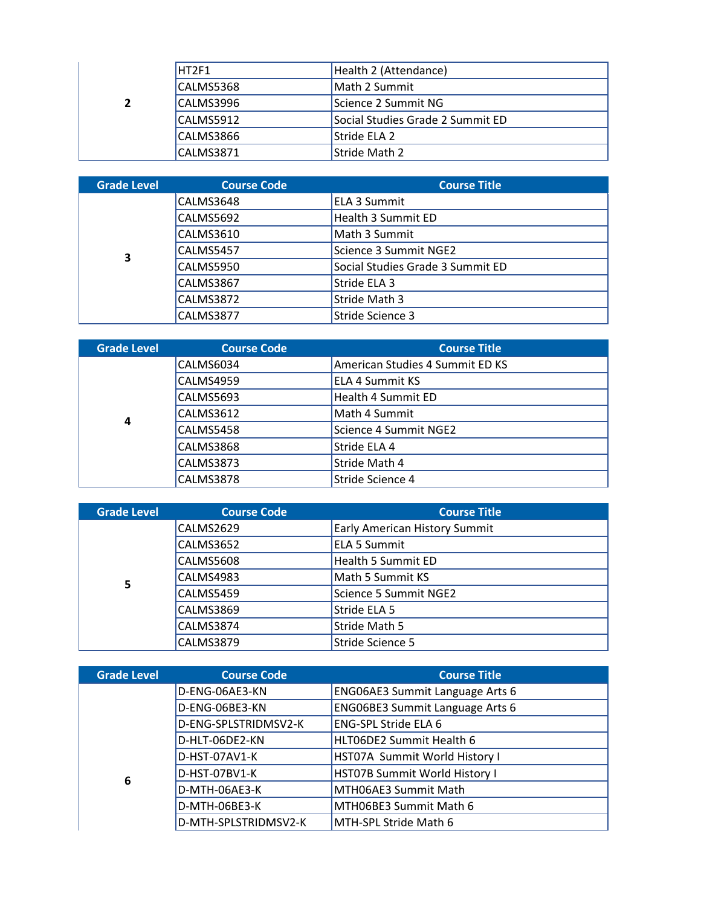|                | HT2F1            | Health 2 (Attendance)            |
|----------------|------------------|----------------------------------|
|                | CALMS5368        | Math 2 Summit                    |
| $\overline{2}$ | CALMS3996        | Science 2 Summit NG              |
|                | CALMS5912        | Social Studies Grade 2 Summit ED |
|                | CALMS3866        | Stride ELA 2                     |
|                | <b>CALMS3871</b> | Stride Math 2                    |

| <b>Grade Level</b> | <b>Course Code</b> | <b>Course Title</b>              |
|--------------------|--------------------|----------------------------------|
|                    | CALMS3648          | <b>ELA 3 Summit</b>              |
|                    | CALMS5692          | <b>Health 3 Summit ED</b>        |
|                    | <b>CALMS3610</b>   | Math 3 Summit                    |
| 3                  | CALMS5457          | Science 3 Summit NGE2            |
|                    | CALMS5950          | Social Studies Grade 3 Summit ED |
|                    | <b>CALMS3867</b>   | Stride ELA 3                     |
|                    | <b>CALMS3872</b>   | Stride Math 3                    |
|                    | CALMS3877          | Stride Science 3                 |

| <b>Grade Level</b> | <b>Course Code</b> | <b>Course Title</b>             |
|--------------------|--------------------|---------------------------------|
| 4                  | CALMS6034          | American Studies 4 Summit ED KS |
|                    | CALMS4959          | <b>ELA 4 Summit KS</b>          |
|                    | CALMS5693          | Health 4 Summit ED              |
|                    | CALMS3612          | Math 4 Summit                   |
|                    | CALMS5458          | Science 4 Summit NGE2           |
|                    | CALMS3868          | Stride ELA 4                    |
|                    | <b>CALMS3873</b>   | Stride Math 4                   |
|                    | <b>CALMS3878</b>   | Stride Science 4                |

| <b>Grade Level</b> | <b>Course Code</b> | <b>Course Title</b>                  |
|--------------------|--------------------|--------------------------------------|
| 5                  | CALMS2629          | <b>Early American History Summit</b> |
|                    | CALMS3652          | <b>ELA 5 Summit</b>                  |
|                    | <b>CALMS5608</b>   | Health 5 Summit ED                   |
|                    | CALMS4983          | Math 5 Summit KS                     |
|                    | <b>CALMS5459</b>   | Science 5 Summit NGE2                |
|                    | <b>CALMS3869</b>   | Stride ELA 5                         |
|                    | CALMS3874          | Stride Math 5                        |
|                    | <b>CALMS3879</b>   | Stride Science 5                     |

| <b>Grade Level</b> | <b>Course Code</b>   | <b>Course Title</b>                    |
|--------------------|----------------------|----------------------------------------|
|                    | D-ENG-06AE3-KN       | <b>ENG06AE3 Summit Language Arts 6</b> |
|                    | D-ENG-06BE3-KN       | <b>ENG06BE3 Summit Language Arts 6</b> |
|                    | D-ENG-SPLSTRIDMSV2-K | <b>ENG-SPL Stride ELA 6</b>            |
| 6                  | D-HLT-06DE2-KN       | HLT06DE2 Summit Health 6               |
|                    | D-HST-07AV1-K        | HST07A Summit World History I          |
|                    | D-HST-07BV1-K        | HST07B Summit World History I          |
|                    | D-MTH-06AE3-K        | MTH06AE3 Summit Math                   |
|                    | D-MTH-06BE3-K        | MTH06BE3 Summit Math 6                 |
|                    | D-MTH-SPLSTRIDMSV2-K | MTH-SPL Stride Math 6                  |